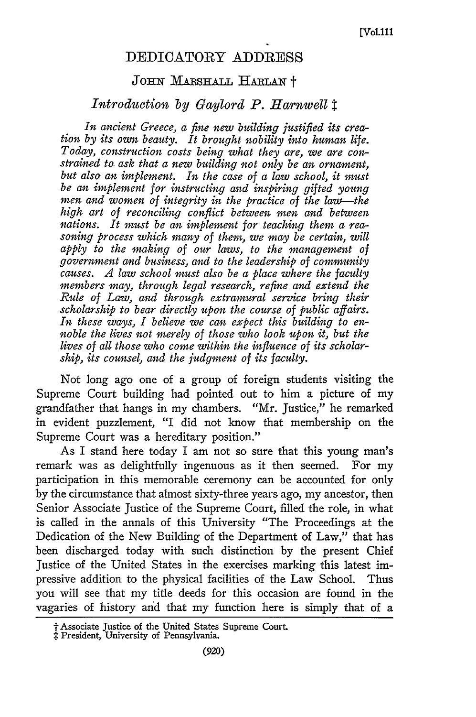## DEDICATORY ADDRESS

## JOHN MARSHALL HARLAN<sup>†</sup>

## *Introduction by Gaylord P. Harnwell I*

*In ancient Greece, a fine new building justified its creation by its own beauty. It brought nobility into human life. Today, construction costs being what they are, we are constrained to. ask that a new building not only be an ornament, but also an implement. In the case of a law school, it must be an implement for instructing and inspiring gifted young men and women of integrity in the practice of the law--the high art of reconciling conflict between men and between nations. It must be an implement for teaching them a reasoning process which many of them, we may be certain, will apply to the making of our laws, to the management of government and business, and to the leadership of community causes. A law school must also be a place where the faculty members may, through legal research, refine and extend the Rule of Law, and through extramural service bring their scholarship to bear directly upon the course of public affairs. In these ways, I believe we can expect this building to ennoble the lives not merely of those who look upon it, but the lives of all those who come within the influence of its scholarship, its counsel, and the judgment of its faculty.*

Not long ago one of a group of foreign students visiting the Supreme Court building had pointed out to him a picture of my grandfather that hangs in my chambers. "Mr. Justice," he remarked in evident puzzlement, "I did not know that membership on the Supreme Court was a hereditary position."

As I stand here today I am not so sure that this young man's remark was as delightfully ingenuous as it then seemed. For my participation in this memorable ceremony can be accounted for only **by** the circumstance that almost sixty-three years ago, my ancestor, then Senior Associate Justice of the Supreme Court, filled the role, in what is called in the annals of this University "The Proceedings at the Dedication of the New Building of the Department of Law," that has been discharged today with such distinction **by** the present Chief Justice of the United States in the exercises marking this latest impressive addition to the physical facilities of the Law School. Thus you will see that my title deeds for this occasion are found in the vagaries of history and that my function here is simply that of a

t Associate Justice of the United States Supreme Court. : President, University **of** Pennsylvania.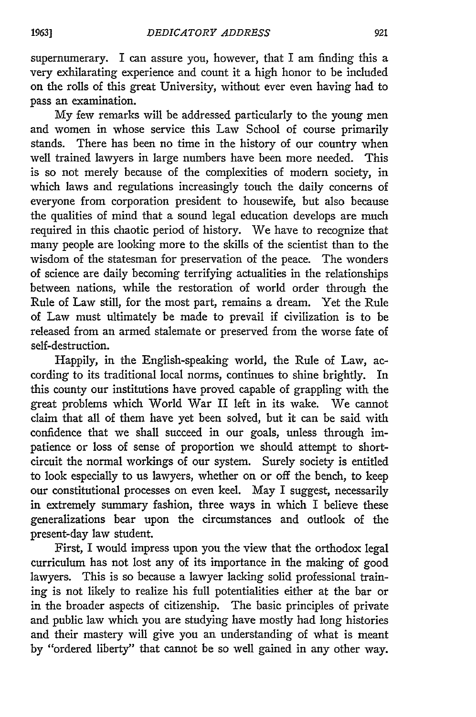supernumerary. I can assure you, however, that I am finding this a very exhilarating experience and count it a high honor to be included on the rolls of this great University, without ever even having had to pass an examination.

My few remarks will be addressed particularly to the young men and women in whose service this Law School of course primarily stands. There has been no time in the history of our country when well trained lawyers in large numbers have been more needed. This is so not merely because of the complexities of modern society, in which laws and regulations increasingly touch the daily concerns of everyone from corporation president to housewife, but also because the qualities of mind that a sound legal education develops are much required in this chaotic period of history. We have to recognize that many people are looking more to the skills of the scientist than to the wisdom of the statesman for preservation of the peace. The wonders of science are daily becoming terrifying actualities in the relationships between nations, while the restoration of world order through the Rule of Law still, for the most part, remains a dream. Yet the Rule of Law must ultimately be made to prevail if civilization is to be released from an armed stalemate or preserved from the worse fate of self-destruction.

Happily, in the English-speaking world, the Rule of Law, according to its traditional local norms, continues to shine brightly. In this county our institutions have proved capable of grappling with the great problems which World War II left in its wake. We cannot claim that all of them have yet been solved, but it can be said with confidence that we shall succeed in our goals, unless through impatience or loss of sense of proportion we should attempt to shortcircuit the normal workings of our system. Surely society is entitled to look especially to us lawyers, whether on or off the bench, to keep our constitutional processes on even keel. May I suggest, necessarily in extremely summary fashion, three ways in which I believe these generalizations bear upon the circumstances and outlook of the present-day law student.

First, I would impress upon you the view that the orthodox legal curriculum has not lost any of its importance in the making of good lawyers. This is so because a lawyer lacking solid professional training is not likely to realize his full potentialities either at the bar or in the broader aspects of citizenship. The basic principles of private and public law which you are studying have mostly had long histories and their mastery will give you an understanding of what is meant by "ordered liberty" that cannot be so well gained in any other way.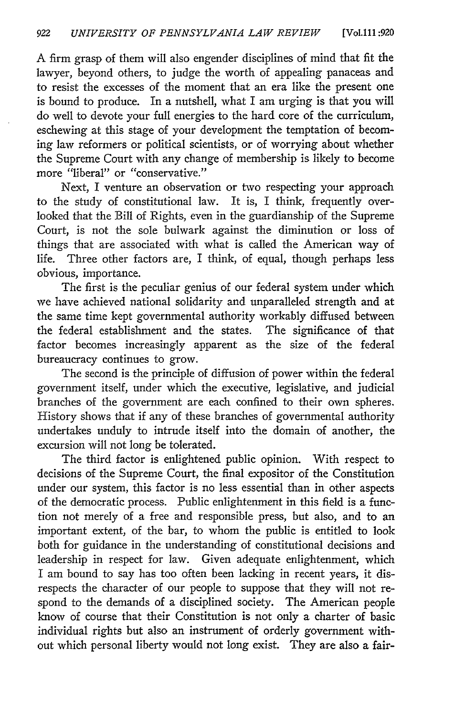A firm grasp of them will also engender disciplines of mind that fit the lawyer, beyond others, to judge the worth of appealing panaceas and to resist the excesses of the moment that an era like the present one is bound to produce. In a nutshell, what I am urging is that you will do well to devote your full energies to the hard core of the curriculum, eschewing at this stage of your development the temptation of becoming law reformers or political scientists, or of worrying about whether the Supreme Court with any change of membership is likely to become more "liberal" or "conservative."

Next, I venture an observation or two respecting your approach to the study of constitutional law. It is, I think, frequently overlooked that the Bill of Rights, even in the guardianship of the Supreme Court, is not the sole bulwark against the diminution or loss of things that are associated with what is called the American way of life. Three other factors are, I think, of equal, though perhaps less obvious, importance.

The first is the peculiar genius of our federal system under which we have achieved national solidarity and unparalleled strength and at the same time kept governmental authority workably diffused between the federal establishment and the states. The significance of that factor becomes increasingly apparent as the size of the federal bureaucracy continues to grow.

The second is the principle of diffusion of power within the federal government itself, under which the executive, legislative, and judicial branches of the government are each confined to their own spheres. History shows that if any of these branches of governmental authority undertakes unduly to intrude itself into the domain of another, the excursion will not long be tolerated.

The third factor is enlightened public opinion. With respect to decisions of the Supreme Court, the final expositor of the Constitution under our system, this factor is no less essential than in other aspects of the democratic process. Public enlightenment in this field is a function not merely of a free and responsible press, but also, and to an important extent, of the bar, to whom the public is entitled to look both for guidance in the understanding of constitutional decisions and leadership in respect for law. Given adequate enlightenment, which I am bound to say has too often been lacking in recent years, it disrespects the character of our people to suppose that they will not respond to the demands of a disciplined society. The American people know of course that their Constitution is not only a charter of basic individual rights but also an instrument of orderly government without which personal liberty would not long exist. They are also a fair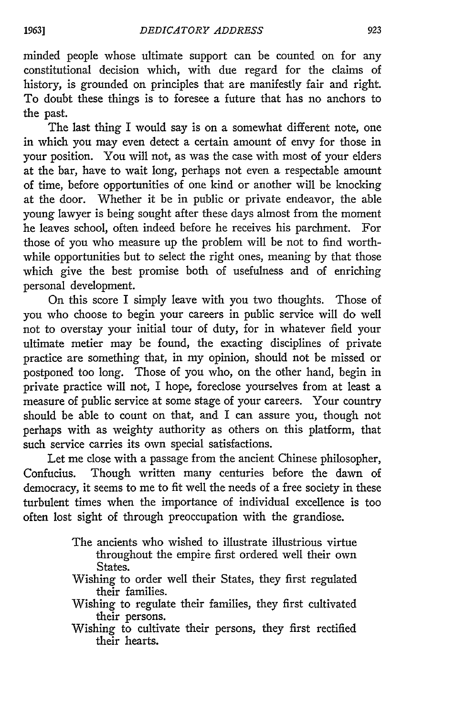minded people whose ultimate support can be counted on for any constitutional decision which, with due regard for the claims of history, is grounded on principles that are manifestly fair and right. To doubt these things is to foresee a future that has no anchors to the past.

The last thing I would say is on a somewhat different note, one in which you may even detect a certain amount of envy for those in your position. You will not, as was the case with most of your elders at the bar, have to wait long, perhaps not even a respectable amount of time, before opportunities of one kind or another will be knocking at the door. Whether it be in public or private endeavor, the able young lawyer is being sought after these days almost from the moment he leaves school, often indeed before he receives his parchment. For those of you who measure up the problem will be not to find worthwhile opportunities but to select the right ones, meaning by that those which give the best promise both of usefulness and of enriching personal development.

On this score I simply leave with you two thoughts. Those of you who choose to begin your careers in public service will do well not to overstay your initial tour of duty, for in whatever field your ultimate metier may be found, the exacting disciplines of private practice are something that, in my opinion, should not be missed or postponed too long. Those of you who, on the other hand, begin in private practice will not, I hope, foreclose yourselves from at least a measure of public service at some stage of your careers. Your country should be able to count on that, and I can assure you, though not perhaps with as weighty authority as others on this platform, that such service carries its own special satisfactions.

Let me close with a passage from the ancient Chinese philosopher, Confucius. Though written many centuries before the dawn of democracy, it seems to me to fit well the needs of a free society in these turbulent times when the importance of individual excellence is too often lost sight of through preoccupation with the grandiose.

- The ancients who wished to illustrate illustrious virtue throughout the empire first ordered well their own States.
- Wishing to order well their States, they first regulated their families.
- Wishing to regulate their families, they first cultivated their persons.
- Wishing to cultivate their persons, they first rectified their hearts.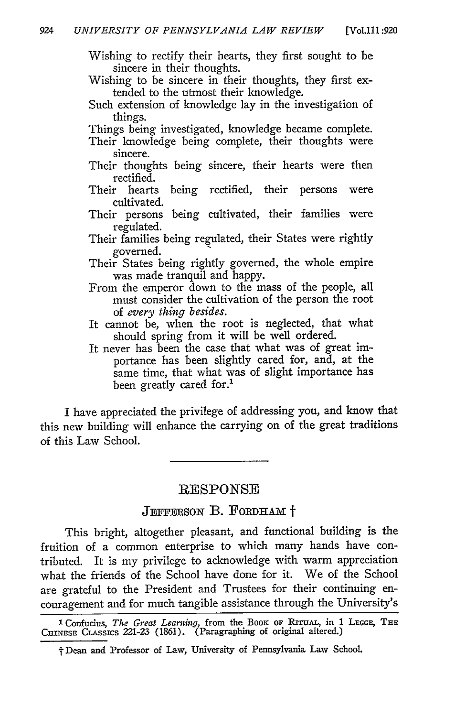Wishing to rectify their hearts, they first sought to be sincere in their thoughts.

Wishing to be sincere in their thoughts, they first extended to the utmost their knowledge.

Such extension of knowledge lay in the investigation of things.

Things being investigated, knowledge became complete.

- Their knowledge being complete, their thoughts were sincere.
- Their thoughts being sincere, their hearts were then rectified.
- Their hearts being rectified, their persons were cultivated.
- Their persons being cultivated, their families were regulated.
- Their families being regulated, their States were rightly governed.
- Their States being rightly governed, the whole empire was made tranquil and happy.
- From the emperor down to the mass of the people, all must consider the cultivation of the person the root of *every thing besides.*
- It cannot be, when the root is neglected, that what should spring from it will be well ordered.
- It never has been the case that what was of great importance has been slightly cared for, and, at the same time, that what was of slight importance has been greatly cared for.'

I have appreciated the privilege of addressing you, and know that this new building will enhance the carrying on of the great traditions of this Law School.

#### **RESPONSE**

## JEFFERSON B. FORDHAM<sup>+</sup>

This bright, altogether pleasant, and functional building is the fruition of a common enterprise to which many hands have contributed. It is my privilege to acknowledge with warm appreciation what the friends of the School have done for it. We of the School are grateful to the President and Trustees for their continuing encouragement and for much tangible assistance through the University's

**<sup>1</sup>**Confudus, *The Great Learning,* from the BooK **OF** RITUAL, in 1 **LEGGE, THE** CHINESE CLASSICS 221-23 (1861). (Paragraphing of original altered.)

j" Dean and Professor of Law, University of Pennsylvania Law School.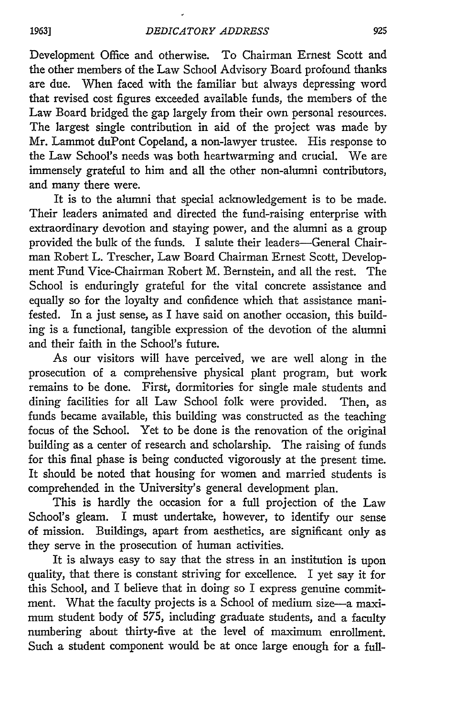Development Office and otherwise. To Chairman Ernest Scott and the other members of the Law School Advisory Board profound thanks are due. When faced with the familiar but always depressing word that revised cost figures exceeded available funds, the members of the Law Board bridged the gap largely from their own personal resources. The largest single contribution in aid of the project was made by Mr. Lammot duPont Copeland, a non-lawyer trustee. His response to the Law School's needs was both heartwarming and crucial. We are immensely grateful to him and all the other non-alumni contributors, and many there were.

It is to the alumni that special acknowledgement is to be made. Their leaders animated and directed the fund-raising enterprise with extraordinary devotion and staying power, and the alumni as a group provided the bulk of the funds. I salute their leaders-General Chairman Robert L. Trescher, Law Board Chairman Ernest Scott, Development Fund Vice-Chairman Robert M. Bernstein, and all the rest. The School is enduringly grateful for the vital concrete assistance and equally so for the loyalty and confidence which that assistance manifested. In a just sense, as I have said on another occasion, this building is a functional, tangible expression of the devotion of the alumni and their faith in the School's future.

As our visitors will have perceived, we are well along in the prosecution of a comprehensive physical plant program, but work remains to be done. First, dormitories for single male students and dining facilities for all Law School folk were provided. Then, as funds became available, this building was constructed as the teaching focus of the School. Yet to be done is the renovation of the original building as a center of research and scholarship. The raising of funds for this final phase is being conducted vigorously at the present time. It should be noted that housing for women and married students is comprehended in the University's general development plan.

This is hardly the occasion for a full projection of the Law School's gleam. I must undertake, however, to identify our sense of mission. Buildings, apart from aesthetics, are significant only as they serve in the prosecution of human activities.

It is always easy to say that the stress in an institution is upon quality, that there is constant striving for excellence. I yet say it for this School, and I believe that in doing so I express genuine commitment. What the faculty projects is a School of medium size-a maximum student body of 575, including graduate students, and a faculty numbering about thirty-five at the level of maximum enrollment. Such a student component would be at once large enough for a full-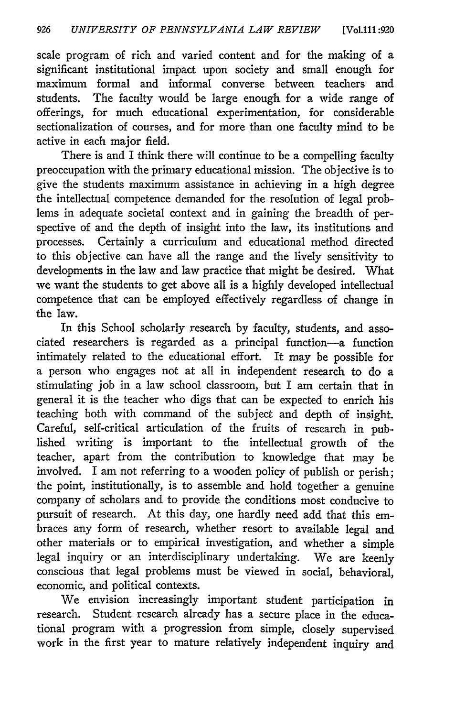scale program of rich and varied content and for the making of a significant institutional impact upon society and small enough for maximum formal and informal converse between teachers and students. The faculty would be large enough for a wide range of offerings, for much educational experimentation, for considerable sectionalization of courses, and for more than one faculty mind to be active in each major field.

There is and I think there will continue to be a compelling faculty preoccupation with the primary educational mission. The objective is to give the students maximum assistance in achieving in a high degree the intellectual competence demanded for the resolution of legal problems in adequate societal context and in gaining the breadth of perspective of and the depth of insight into the law, its institutions and processes. Certainly a curriculum and educational method directed to this objective can have all the range and the lively sensitivity to developments in the law and law practice that might be desired. What we want the students to get above all is a highly developed intellectual competence that can be employed effectively regardless of change in the law.

In this School scholarly research by faculty, students, and associated researchers is regarded as a principal function-a function intimately related to the educational effort. It may be possible for a person who engages not at all in independent research to do a stimulating job in a law school classroom, but I am certain that in general it is the teacher who digs that can be expected to enrich his teaching both with command of the subject and depth of insight. Careful, self-critical articulation of the fruits of research in published writing is important to the intellectual growth of the teacher, apart from the contribution to knowledge that may be involved. I am not referring to a wooden policy of publish or perish; the point, institutionally, is to assemble and hold together a genuine company of scholars and to provide the conditions most conducive to pursuit of research. At this day, one hardly need add that this embraces any form of research, whether resort to available legal and other materials or to empirical investigation, and whether a simple legal inquiry or an interdisciplinary undertaking. We are keenly conscious that legal problems must be viewed in social, behavioral, economic, and political contexts.

We envision increasingly important student participation in research. Student research already has a secure place in the educational program with a progression from simple, closely supervised work in the first year to mature relatively independent inquiry and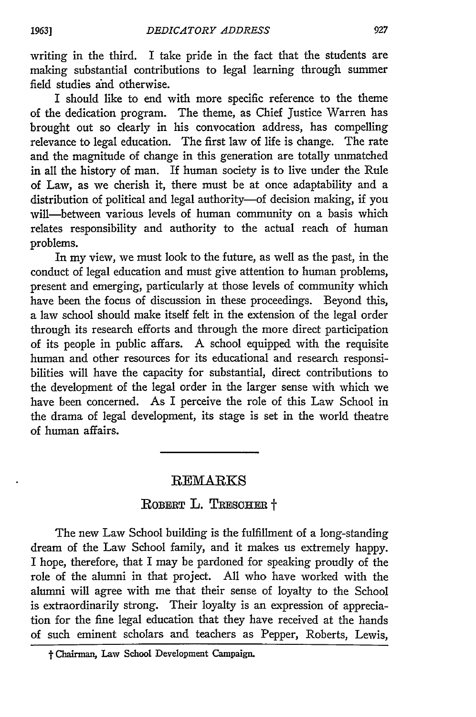writing in the third. I take pride in the fact that the students are making substantial contributions to legal learning through summer field studies and otherwise.

I should like to end with more specific reference to the theme of the dedication program. The theme, as Chief justice Warren has brought out so clearly in his convocation address, has compelling relevance to legal education. The first law of life is change. The rate and the magnitude of change in this generation are totally unmatched in all the history of man. If human society is to live under the Rule of Law, as we cherish it, there must be at once adaptability and a distribution of political and legal authority-of decision making, if you will-between various levels of human community on a basis which relates responsibility and authority to the actual reach of human problems.

In my view, we must look to the future, as well as the past, in the conduct of legal education and must give attention to human problems, present and emerging, particularly at those levels of community which have been the focus of discussion in these proceedings. Beyond this, a law school should make itself felt in the extension of the legal order through its research efforts and through the more direct participation of its people in public affars. A school equipped with the requisite human and other resources for its educational and research responsibilities will have the capacity for substantial, direct contributions to the development of the legal order in the larger sense with which we have been concerned. As I perceive the role of this Law School in the drama of legal development, its stage is set in the world theatre of human affairs.

## $\rm \overline{REMARKS}$

# ROBERT L. TRESCHER <sup>+</sup>

The new Law School building is the fulfillment of a long-standing dream of the Law School family, and it makes us extremely happy. I hope, therefore, that I may be pardoned for speaking proudly of the role of the alumni in that project. All who have worked with the alumni will agree with me that their sense of loyalty to the School is extraordinarily strong. Their loyalty is an expression of appreciation for the fine legal education that they have received at the hands of such eminent scholars and teachers as Pepper, Roberts, Lewis,

t Chairman, **Law School** Development Campaign.